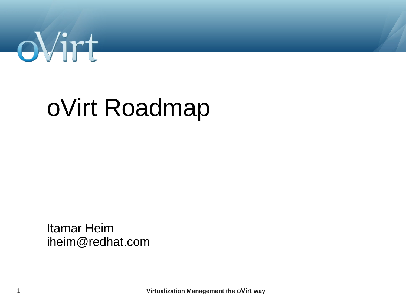

# oVirt Roadmap

**Itamar Heim** iheim@redhat.com

Virtualization Management the oVirt way

 $\mathbf{1}$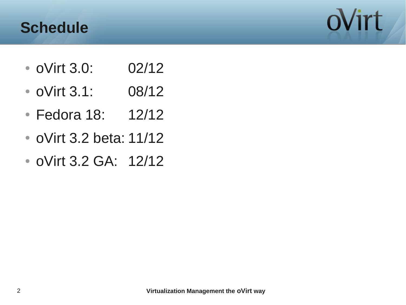#### **Schedule**



- oVirt 3.0: 02/12
- oVirt 3.1: 08/12
- Fedora 18: 12/12
- oVirt 3.2 beta: 11/12
- oVirt 3.2 GA: 12/12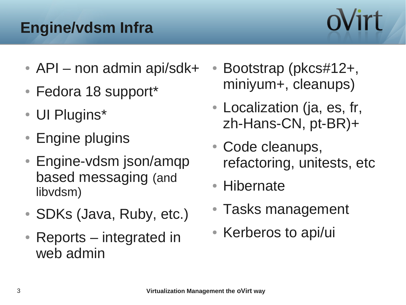## **Engine/vdsm Infra**

- $\bullet$  API non admin api/sdk+
- Fedora 18 support\*
- UI Plugins\*
- Engine plugins
- Engine-vdsm json/amqp based messaging (and libvdsm)
- SDKs (Java, Ruby, etc.)
- $\bullet$  Reports integrated in web admin
- Bootstrap (pkcs#12+, miniyum+, cleanups)
- Localization (ja, es, fr, zh-Hans-CN, pt-BR)+
- Code cleanups, refactoring, unitests, etc
- Hibernate
- Tasks management
- Kerberos to api/ui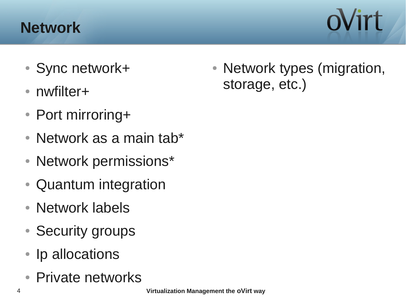#### **Network**

- Sync network+
- nwfilter+
- Port mirroring+
- Network as a main tab\*
- Network permissions\*
- Quantum integration
- Network labels
- Security groups
- Ip allocations
- Private networks

• Network types (migration, storage, etc.)

oVirt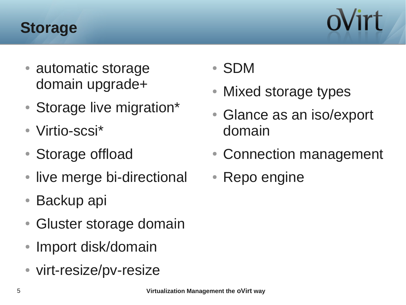#### **Storage**

- automatic storage domain upgrade+
- Storage live migration\*
- Virtio-scsi\*
- Storage offload
- live merge bi-directional
- $\bullet$  Backup api
- Gluster storage domain
- Import disk/domain
- virt-resize/pv-resize
- SDM
- Mixed storage types
- Glance as an iso/export domain
- Connection management
- Repo engine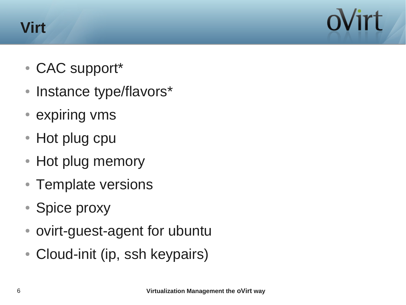#### **Virt**

- CAC support\*
- Instance type/flavors\*
- expiring vms
- Hot plug cpu
- Hot plug memory
- Template versions
- Spice proxy
- ovirt-guest-agent for ubuntu
- Cloud-init (ip, ssh keypairs)

Virt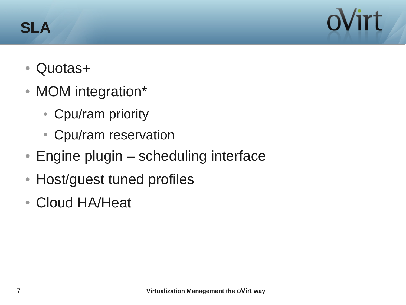#### **SLA**

Virt

- Quotas+
- MOM integration\*
	- Cpu/ram priority
	- Cpu/ram reservation
- $\bullet$  Engine plugin scheduling interface
- Host/guest tuned profiles
- Cloud HA/Heat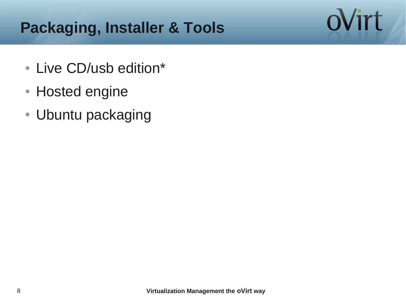### **Packaging, Installer & Tools**

- Live CD/usb edition\*
- Hosted engine
- Ubuntu packaging

ovirt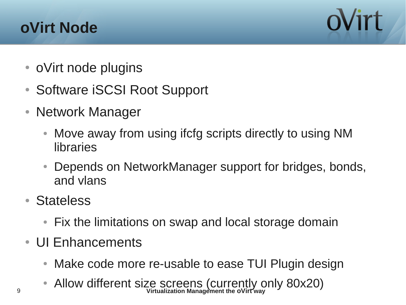#### **oVirt Node**



- oVirt node plugins
- Software iSCSI Root Support
- Network Manager
	- Move away from using ifcfg scripts directly to using NM libraries
	- Depends on NetworkManager support for bridges, bonds, and vlans
- Stateless
	- Fix the limitations on swap and local storage domain
- UI Enhancements
	- Make code more re-usable to ease TUI Plugin design
- 9 **Virtualization Management the oVirt way** • Allow different size screens (currently only 80x20)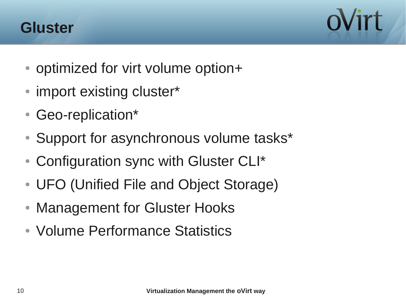



- optimized for virt volume option+
- import existing cluster\*
- Geo-replication\*
- Support for asynchronous volume tasks\*
- Configuration sync with Gluster CLI\*
- UFO (Unified File and Object Storage)
- Management for Gluster Hooks
- Volume Performance Statistics